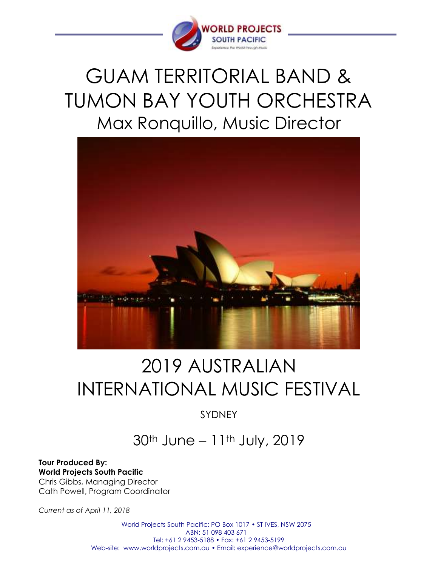

## GUAM TERRITORIAL BAND & TUMON BAY YOUTH ORCHESTRA Max Ronquillo, Music Director



# 2019 AUSTRALIAN INTERNATIONAL MUSIC FESTIVAL

SYDNEY

### 30th June – 11th July, 2019

**Tour Produced By: World Projects South Pacific** Chris Gibbs, Managing Director Cath Powell, Program Coordinator

*Current as of April 11, 2018*

World Projects South Pacific: PO Box 1017 • ST IVES, NSW 2075 ABN: 51 098 403 671 Tel: +61 2 9453-5188 • Fax: +61 2 9453-5199 Web-site: www.worldprojects.com.au • Email: experience@worldprojects.com.au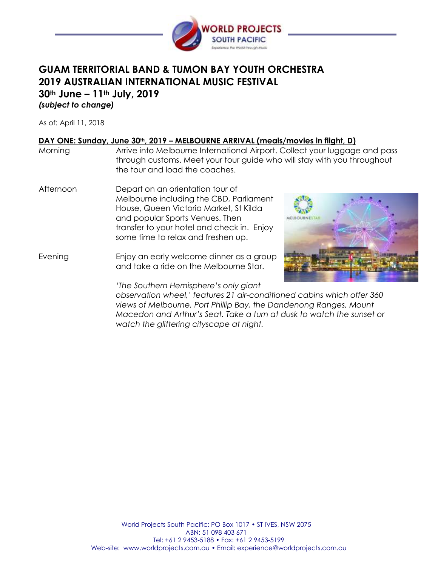

#### **GUAM TERRITORIAL BAND & TUMON BAY YOUTH ORCHESTRA 2019 AUSTRALIAN INTERNATIONAL MUSIC FESTIVAL 30th June – 11th July, 2019** *(subject to change)*

As of: April 11, 2018

#### **DAY ONE: Sunday, June 30th, 2019 – MELBOURNE ARRIVAL (meals/movies in flight, D)**

*watch the glittering cityscape at night.*

| Morning   | Arrive into Melbourne International Airport. Collect your luggage and pass<br>through customs. Meet your tour guide who will stay with you throughout<br>the tour and load the coaches.                                                      |  |  |
|-----------|----------------------------------------------------------------------------------------------------------------------------------------------------------------------------------------------------------------------------------------------|--|--|
| Afternoon | Depart on an orientation tour of<br>Melbourne including the CBD, Parliament<br>House, Queen Victoria Market, St Kilda<br>and popular Sports Venues. Then<br>transfer to your hotel and check in. Enjoy<br>some time to relax and freshen up. |  |  |
| Evening   | Enjoy an early welcome dinner as a group<br>and take a ride on the Melbourne Star.                                                                                                                                                           |  |  |
|           | 'The Southern Hemisphere's only giant<br>observation wheel,' features 21 air-conditioned cabins which offer 360<br>views of Melbourne, Port Phillip Bay, the Dandenong Ranges, Mount                                                         |  |  |

*Macedon and Arthur's Seat. Take a turn at dusk to watch the sunset or*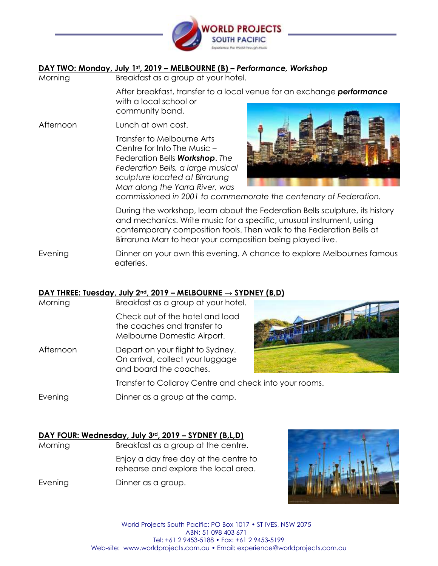

#### **DAY TWO: Monday, July 1st, 2019 – MELBOURNE (B)** *– Performance, Workshop*

Morning Breakfast as a group at your hotel.

After breakfast, transfer to a local venue for an exchange *performance* with a local school or community band.

Afternoon Lunch at own cost.

Transfer to Melbourne Arts Centre for Into The Music – Federation Bells *Workshop*. *The Federation Bells, a large musical sculpture located at Birrarung Marr along the Yarra River, was* 



*commissioned in 2001 to commemorate the centenary of Federation.*

During the workshop, learn about the Federation Bells sculpture, its history and mechanics. Write music for a specific, unusual instrument, using contemporary composition tools. Then walk to the Federation Bells at Birraruna Marr to hear your composition being played live.

Evening Dinner on your own this evening. A chance to explore Melbournes famous eateries.

#### **DAY THREE: Tuesday, July 2nd, 2019 – MELBOURNE → SYDNEY (B,D)**

Morning Breakfast as a group at your hotel. Check out of the hotel and load the coaches and transfer to Melbourne Domestic Airport. Afternoon Depart on your flight to Sydney. On arrival, collect your luggage and board the coaches. Transfer to Collaroy Centre and check into your rooms. Evening Dinner as a group at the camp.

#### **DAY FOUR: Wednesday, July 3rd, 2019 – SYDNEY (B,L,D)**

Morning Breakfast as a group at the centre. Enjoy a day free day at the centre to

rehearse and explore the local area.

Evening Dinner as a group.



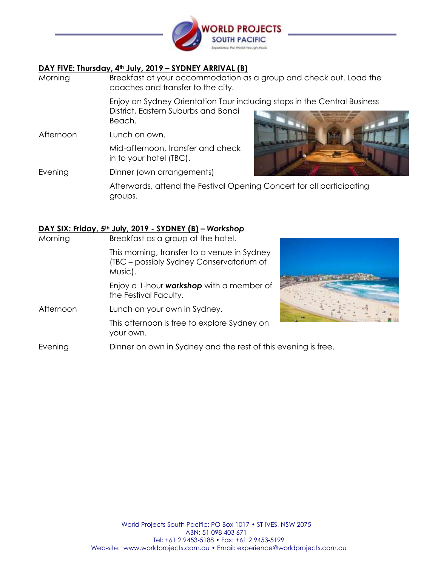

#### **DAY FIVE: Thursday, 4th July, 2019 – SYDNEY ARRIVAL (B)**

- Morning Breakfast at your accommodation as a group and check out. Load the coaches and transfer to the city. Enjoy an Sydney Orientation Tour including stops in the Central Business District, Eastern Suburbs and Bondi Beach. Afternoon Lunch on own.
- Mid-afternoon, transfer and check in to your hotel (TBC).



Evening Dinner (own arrangements)

Afterwards, attend the Festival Opening Concert for all participating groups.

#### **DAY SIX: Friday, 5th July, 2019 - SYDNEY (B) –** *Workshop*

| Morning   | Breakfast as a group at the hotel.                                                                 |  |
|-----------|----------------------------------------------------------------------------------------------------|--|
|           | This morning, transfer to a venue in Sydney<br>(TBC – possibly Sydney Conservatorium of<br>Music). |  |
|           | Enjoy a 1-hour <b>workshop</b> with a member of<br>the Festival Faculty.                           |  |
| Afternoon | Lunch on your own in Sydney.                                                                       |  |
|           | This afternoon is free to explore Sydney on<br>your own.                                           |  |
| Evening   | Dinner on own in Sydney and the rest of this evening is free.                                      |  |

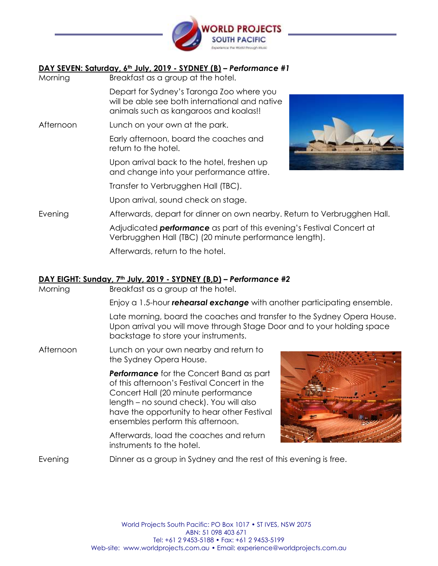

#### **DAY SEVEN: Saturday, 6th July, 2019 - SYDNEY (B) –** *Performance #1*

Morning Breakfast as a group at the hotel. Depart for Sydney's Taronga Zoo where you will be able see both international and native animals such as kangaroos and koalas!! Afternoon Lunch on your own at the park. Early afternoon, board the coaches and return to the hotel. Upon arrival back to the hotel, freshen up and change into your performance attire. Transfer to Verbrugghen Hall (TBC). Upon arrival, sound check on stage. Evening **Afterwards, depart for dinner on own nearby. Return to Verbrugghen Hall.** Adjudicated *performance* as part of this evening's Festival Concert at Verbrugghen Hall (TBC) (20 minute performance length). Afterwards, return to the hotel.

#### **DAY EIGHT: Sunday, 7th July, 2019 - SYDNEY (B,D) –** *Performance #2*

Morning Breakfast as a group at the hotel.

Enjoy a 1.5-hour *rehearsal exchange* with another participating ensemble.

Late morning, board the coaches and transfer to the Sydney Opera House. Upon arrival you will move through Stage Door and to your holding space backstage to store your instruments.

Afternoon Lunch on your own nearby and return to the Sydney Opera House.

> *Performance* for the Concert Band as part of this afternoon's Festival Concert in the Concert Hall (20 minute performance length – no sound check). You will also have the opportunity to hear other Festival ensembles perform this afternoon.

Afterwards, load the coaches and return instruments to the hotel.



Evening Dinner as a group in Sydney and the rest of this evening is free.

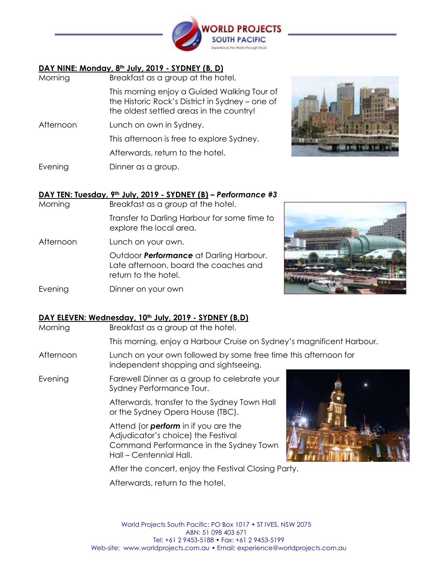

#### **DAY NINE: Monday, 8th July, 2019 - SYDNEY (B, D)**

| Morning   | Breakfast as a group at the hotel.                                                                                                         |
|-----------|--------------------------------------------------------------------------------------------------------------------------------------------|
|           | This morning enjoy a Guided Walking Tour of<br>the Historic Rock's District in Sydney - one of<br>the oldest settled areas in the country! |
| Afternoon | Lunch on own in Sydney.                                                                                                                    |
|           | This afternoon is free to explore Sydney.                                                                                                  |
|           | Afterwards, return to the hotel.                                                                                                           |
| Evening   | Dinner as a group.                                                                                                                         |



#### **DAY TEN: Tuesday, 9th July, 2019 - SYDNEY (B) –** *Performance #3*

Morning Breakfast as a group at the hotel.

Transfer to Darling Harbour for some time to explore the local area.

Afternoon Lunch on your own.

Outdoor *Performance* at Darling Harbour. Late afternoon, board the coaches and return to the hotel.

Evening Dinner on your own



| Morning   | Breakfast as a group at the hotel.                                                                                                                     |  |  |
|-----------|--------------------------------------------------------------------------------------------------------------------------------------------------------|--|--|
|           | This morning, enjoy a Harbour Cruise on Sydney's magnificent Harbour.                                                                                  |  |  |
| Afternoon | Lunch on your own followed by some free time this afternoon for<br>independent shopping and sightseeing.                                               |  |  |
| Evening   | Farewell Dinner as a group to celebrate your<br>Sydney Performance Tour.                                                                               |  |  |
|           | Afterwards, transfer to the Sydney Town Hall<br>or the Sydney Opera House (TBC).                                                                       |  |  |
|           | Attend (or <b>perform</b> in if you are the<br>Adjudicator's choice) the Festival<br>Command Performance in the Sydney Town<br>Hall - Centennial Hall. |  |  |
|           | After the concert, enjoy the Festival Closing Party.                                                                                                   |  |  |
|           |                                                                                                                                                        |  |  |

Afterwards, return to the hotel.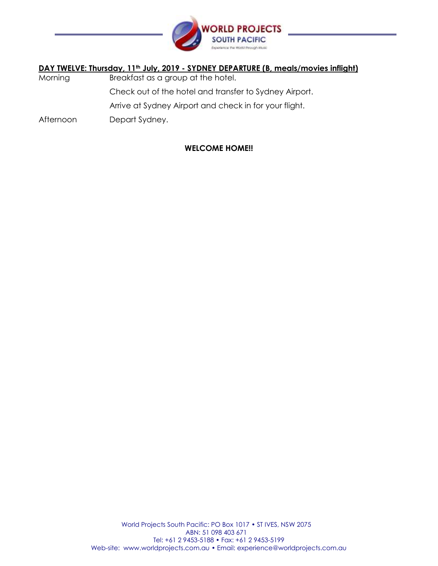

#### **DAY TWELVE: Thursday, 11th July, 2019 - SYDNEY DEPARTURE (B, meals/movies inflight)**

- Morning Breakfast as a group at the hotel. Check out of the hotel and transfer to Sydney Airport. Arrive at Sydney Airport and check in for your flight.
- Afternoon Depart Sydney.

#### **WELCOME HOME!!**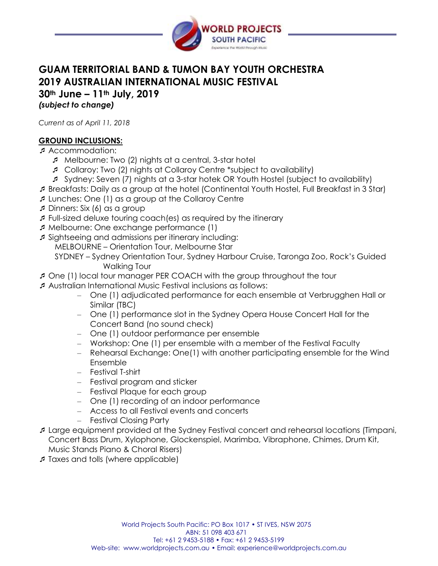

### **GUAM TERRITORIAL BAND & TUMON BAY YOUTH ORCHESTRA 2019 AUSTRALIAN INTERNATIONAL MUSIC FESTIVAL**

**30th June – 11th July, 2019**

*(subject to change)*

*Current as of April 11, 2018*

#### **GROUND INCLUSIONS:**

Accommodation:

- Melbourne: Two (2) nights at a central, 3-star hotel
- Collaroy: Two (2) nights at Collaroy Centre \*subject to availability)
- Sydney: Seven (7) nights at a 3-star hotek OR Youth Hostel (subject to availability)
- Breakfasts: Daily as a group at the hotel (Continental Youth Hostel, Full Breakfast in 3 Star)
- Lunches: One (1) as a group at the Collaroy Centre
- Dinners: Six (6) as a group
- Full-sized deluxe touring coach(es) as required by the itinerary
- Melbourne: One exchange performance (1)
- Sightseeing and admissions per itinerary including: MELBOURNE – Orientation Tour, Melbourne Star
	- SYDNEY Sydney Orientation Tour, Sydney Harbour Cruise, Taronga Zoo, Rock's Guided Walking Tour
- One (1) local tour manager PER COACH with the group throughout the tour
- Australian International Music Festival inclusions as follows:
	- One (1) adjudicated performance for each ensemble at Verbrugghen Hall or Similar (TBC)
	- One (1) performance slot in the Sydney Opera House Concert Hall for the Concert Band (no sound check)
	- One (1) outdoor performance per ensemble
	- Workshop: One (1) per ensemble with a member of the Festival Faculty
	- Rehearsal Exchange: One(1) with another participating ensemble for the Wind Ensemble
	- Festival T-shirt
	- Festival program and sticker
	- Festival Plaque for each group
	- One (1) recording of an indoor performance
	- Access to all Festival events and concerts
	- Festival Closing Party
- Large equipment provided at the Sydney Festival concert and rehearsal locations (Timpani, Concert Bass Drum, Xylophone, Glockenspiel, Marimba, Vibraphone, Chimes, Drum Kit, Music Stands Piano & Choral Risers)
- Taxes and tolls (where applicable)